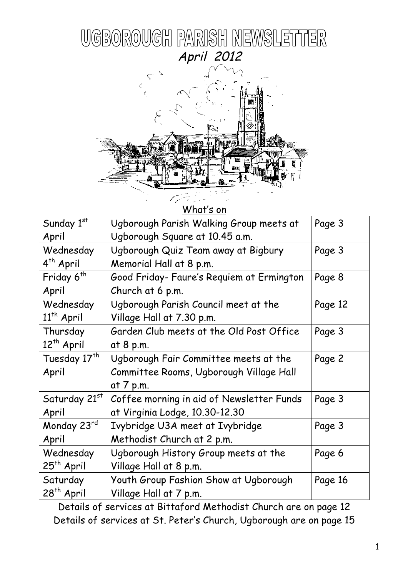



What's on

| Sunday 1st               | Ugborough Parish Walking Group meets at   | Page 3  |  |
|--------------------------|-------------------------------------------|---------|--|
| April                    | Ugborough Square at 10.45 a.m.            |         |  |
| Wednesday                | Ugborough Quiz Team away at Bigbury       | Page 3  |  |
| 4 <sup>th</sup> April    | Memorial Hall at 8 p.m.                   |         |  |
| Friday 6 <sup>th</sup>   | Good Friday- Faure's Requiem at Ermington | Page 8  |  |
| April                    | Church at 6 p.m.                          |         |  |
| Wednesday                | Ugborough Parish Council meet at the      | Page 12 |  |
| $11th$ April             | Village Hall at 7.30 p.m.                 |         |  |
| Thursday                 | Garden Club meets at the Old Post Office  | Page 3  |  |
| 12 <sup>th</sup> April   | at 8 p.m.                                 |         |  |
| Tuesday 17 <sup>th</sup> | Ugborough Fair Committee meets at the     | Page 2  |  |
| April                    | Committee Rooms, Ugborough Village Hall   |         |  |
|                          | at 7 p.m.                                 |         |  |
| Saturday 21st            | Coffee morning in aid of Newsletter Funds | Page 3  |  |
| April                    | at Virginia Lodge, 10.30-12.30            |         |  |
| Monday 23rd              | Ivybridge U3A meet at Ivybridge           | Page 3  |  |
| April                    | Methodist Church at 2 p.m.                |         |  |
| Wednesday                | Ugborough History Group meets at the      | Page 6  |  |
| 25 <sup>th</sup> April   | Village Hall at 8 p.m.                    |         |  |
| Saturday                 | Youth Group Fashion Show at Ugborough     | Page 16 |  |
| 28 <sup>th</sup> April   | Village Hall at 7 p.m.                    |         |  |

Details of services at Bittaford Methodist Church are on page 12 Details of services at St. Peter's Church, Ugborough are on page 15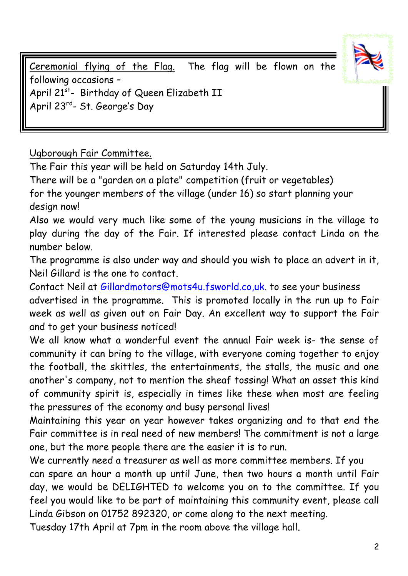

Ceremonial flying of the Flag. The flag will be flown on the following occasions – April 21<sup>st</sup>- Birthday of Queen Elizabeth II April 23rd- St. George's Day

Ugborough Fair Committee.

The Fair this year will be held on Saturday 14th July.

There will be a "garden on a plate" competition (fruit or vegetables) for the younger members of the village (under 16) so start planning your design now!

Also we would very much like some of the young musicians in the village to play during the day of the Fair. If interested please contact Linda on the number below.

The programme is also under way and should you wish to place an advert in it, Neil Gillard is the one to contact.

Contact Neil at Gillardmotors@mots4u.fsworld.co,uk. to see your business advertised in the programme. This is promoted locally in the run up to Fair week as well as given out on Fair Day. An excellent way to support the Fair and to get your business noticed!

We all know what a wonderful event the annual Fair week is- the sense of community it can bring to the village, with everyone coming together to enjoy the football, the skittles, the entertainments, the stalls, the music and one another's company, not to mention the sheaf tossing! What an asset this kind of community spirit is, especially in times like these when most are feeling the pressures of the economy and busy personal lives!

Maintaining this year on year however takes organizing and to that end the Fair committee is in real need of new members! The commitment is not a large one, but the more people there are the easier it is to run.

We currently need a treasurer as well as more committee members. If you can spare an hour a month up until June, then two hours a month until Fair day, we would be DELIGHTED to welcome you on to the committee. If you feel you would like to be part of maintaining this community event, please call Linda Gibson on 01752 892320, or come along to the next meeting.

Tuesday 17th April at 7pm in the room above the village hall.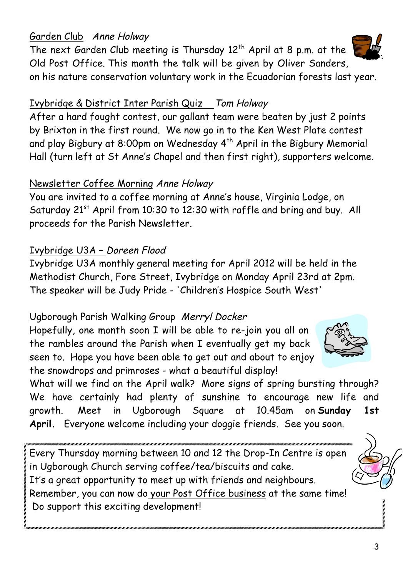### Garden Club Anne Holway

The next Garden Club meeting is Thursday  $12<sup>th</sup>$  April at 8 p.m. at the Old Post Office. This month the talk will be given by Oliver Sanders, on his nature conservation voluntary work in the Ecuadorian forests last year.

### Ivybridge & District Inter Parish Quiz Tom Holway

After a hard fought contest, our gallant team were beaten by just 2 points by Brixton in the first round. We now go in to the Ken West Plate contest and play Bigbury at 8:00pm on Wednesday 4<sup>th</sup> April in the Bigbury Memorial Hall (turn left at St Anne's Chapel and then first right), supporters welcome.

### Newsletter Coffee Morning Anne Holway

You are invited to a coffee morning at Anne's house, Virginia Lodge, on Saturday  $21^{st}$  April from 10:30 to 12:30 with raffle and bring and buy. All proceeds for the Parish Newsletter.

# Ivybridge U3A – Doreen Flood

Ivybridge U3A monthly general meeting for April 2012 will be held in the Methodist Church, Fore Street, Ivybridge on Monday April 23rd at 2pm. The speaker will be Judy Pride - 'Children's Hospice South West'

# Ugborough Parish Walking Group Merryl Docker

Hopefully, one month soon I will be able to re-join you all on the rambles around the Parish when I eventually get my back seen to. Hope you have been able to get out and about to enjoy the snowdrops and primroses - what a beautiful display!

What will we find on the April walk? More signs of spring bursting through? We have certainly had plenty of sunshine to encourage new life and growth. Meet in Ugborough Square at 10.45am on **Sunday 1st April.** Everyone welcome including your doggie friends. See you soon.

Every Thursday morning between 10 and 12 the Drop-In Centre is open in Ugborough Church serving coffee/tea/biscuits and cake. It's a great opportunity to meet up with friends and neighbours. Remember, you can now do your Post Office business at the same time! Do support this exciting development!





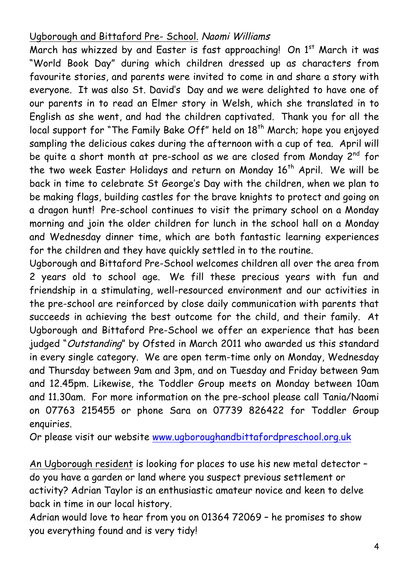### Ugborough and Bittaford Pre- School. Naomi Williams

March has whizzed by and Easter is fast approaching! On 1<sup>st</sup> March it was "World Book Day" during which children dressed up as characters from favourite stories, and parents were invited to come in and share a story with everyone. It was also St. David's Day and we were delighted to have one of our parents in to read an Elmer story in Welsh, which she translated in to English as she went, and had the children captivated. Thank you for all the local support for "The Family Bake Off" held on 18<sup>th</sup> March; hope you enjoyed sampling the delicious cakes during the afternoon with a cup of tea. April will be quite a short month at pre-school as we are closed from Monday 2<sup>nd</sup> for the two week Easter Holidays and return on Monday 16<sup>th</sup> April. We will be back in time to celebrate St George's Day with the children, when we plan to be making flags, building castles for the brave knights to protect and going on a dragon hunt! Pre-school continues to visit the primary school on a Monday morning and join the older children for lunch in the school hall on a Monday and Wednesday dinner time, which are both fantastic learning experiences for the children and they have quickly settled in to the routine.

Ugborough and Bittaford Pre-School welcomes children all over the area from 2 years old to school age. We fill these precious years with fun and friendship in a stimulating, well-resourced environment and our activities in the pre-school are reinforced by close daily communication with parents that succeeds in achieving the best outcome for the child, and their family. At Ugborough and Bittaford Pre-School we offer an experience that has been judged "Outstanding" by Ofsted in March 2011 who awarded us this standard in every single category. We are open term-time only on Monday, Wednesday and Thursday between 9am and 3pm, and on Tuesday and Friday between 9am and 12.45pm. Likewise, the Toddler Group meets on Monday between 10am and 11.30am. For more information on the pre-school please call Tania/Naomi on 07763 215455 or phone Sara on 07739 826422 for Toddler Group enquiries.

Or please visit our website www.ugboroughandbittafordpreschool.org.uk

An Ugborough resident is looking for places to use his new metal detector – do you have a garden or land where you suspect previous settlement or activity? Adrian Taylor is an enthusiastic amateur novice and keen to delve back in time in our local history.

Adrian would love to hear from you on 01364 72069 – he promises to show you everything found and is very tidy!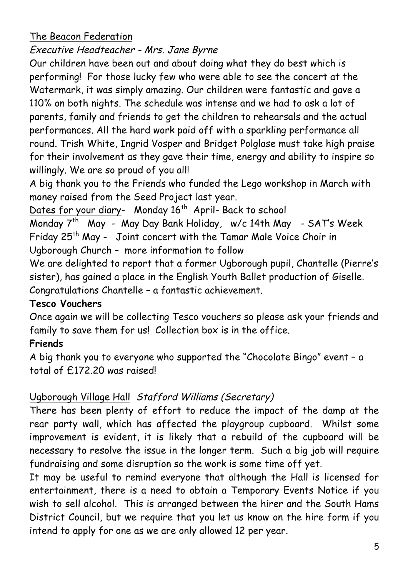### The Beacon Federation

Executive Headteacher - Mrs. Jane Byrne

Our children have been out and about doing what they do best which is performing! For those lucky few who were able to see the concert at the Watermark, it was simply amazing. Our children were fantastic and gave a 110% on both nights. The schedule was intense and we had to ask a lot of parents, family and friends to get the children to rehearsals and the actual performances. All the hard work paid off with a sparkling performance all round. Trish White, Ingrid Vosper and Bridget Polglase must take high praise for their involvement as they gave their time, energy and ability to inspire so willingly. We are so proud of you all!

A big thank you to the Friends who funded the Lego workshop in March with money raised from the Seed Project last year.

Dates for your diary- Monday 16<sup>th</sup> April- Back to school

Monday 7<sup>th</sup> May - May Day Bank Holiday, w/c 14th May - SAT's Week Friday 25<sup>th</sup> May - Joint concert with the Tamar Male Voice Choir in Ugborough Church – more information to follow

We are delighted to report that a former Ugborough pupil, Chantelle (Pierre's sister), has gained a place in the English Youth Ballet production of Giselle. Congratulations Chantelle – a fantastic achievement.

### **Tesco Vouchers**

Once again we will be collecting Tesco vouchers so please ask your friends and family to save them for us! Collection box is in the office.

# **Friends**

A big thank you to everyone who supported the "Chocolate Bingo" event – a total of £172.20 was raised!

# Ugborough Village Hall Stafford Williams (Secretary)

There has been plenty of effort to reduce the impact of the damp at the rear party wall, which has affected the playgroup cupboard. Whilst some improvement is evident, it is likely that a rebuild of the cupboard will be necessary to resolve the issue in the longer term. Such a big job will require fundraising and some disruption so the work is some time off yet.

It may be useful to remind everyone that although the Hall is licensed for entertainment, there is a need to obtain a Temporary Events Notice if you wish to sell alcohol. This is arranged between the hirer and the South Hams District Council, but we require that you let us know on the hire form if you intend to apply for one as we are only allowed 12 per year.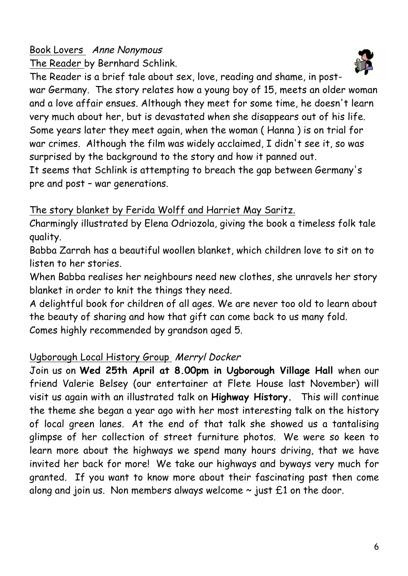# Book Lovers Anne Nonymous The Reader by Bernhard Schlink.

The Reader is a brief tale about sex, love, reading and shame, in postwar Germany. The story relates how a young boy of 15, meets an older woman and a love affair ensues. Although they meet for some time, he doesn't learn very much about her, but is devastated when she disappears out of his life. Some years later they meet again, when the woman ( Hanna ) is on trial for war crimes. Although the film was widely acclaimed, I didn't see it, so was surprised by the background to the story and how it panned out.

It seems that Schlink is attempting to breach the gap between Germany's pre and post – war generations.

# The story blanket by Ferida Wolff and Harriet May Saritz.

Charmingly illustrated by Elena Odriozola, giving the book a timeless folk tale quality.

Babba Zarrah has a beautiful woollen blanket, which children love to sit on to listen to her stories.

When Babba realises her neighbours need new clothes, she unravels her story blanket in order to knit the things they need.

A delightful book for children of all ages. We are never too old to learn about the beauty of sharing and how that gift can come back to us many fold.

Comes highly recommended by grandson aged 5.

# Ugborough Local History Group Merryl Docker

Join us on **Wed 25th April at 8.00pm in Ugborough Village Hall** when our friend Valerie Belsey (our entertainer at Flete House last November) will visit us again with an illustrated talk on **Highway History.** This will continue the theme she began a year ago with her most interesting talk on the history of local green lanes. At the end of that talk she showed us a tantalising glimpse of her collection of street furniture photos. We were so keen to learn more about the highways we spend many hours driving, that we have invited her back for more! We take our highways and byways very much for granted. If you want to know more about their fascinating past then come along and join us. Non members always welcome  $\sim$  just  $\pm 1$  on the door.

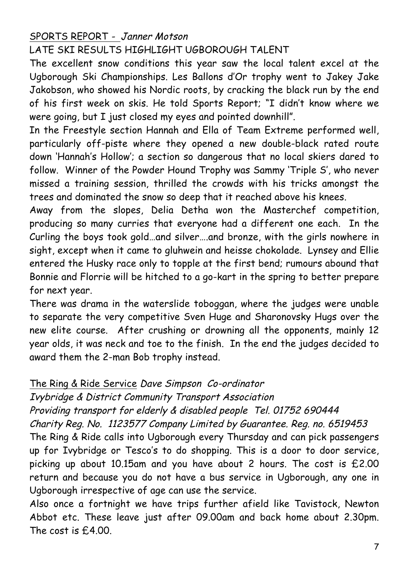# SPORTS REPORT - Janner Motson

LATE SKI RESULTS HIGHLIGHT UGBOROUGH TALENT

The excellent snow conditions this year saw the local talent excel at the Ugborough Ski Championships. Les Ballons d'Or trophy went to Jakey Jake Jakobson, who showed his Nordic roots, by cracking the black run by the end of his first week on skis. He told Sports Report; "I didn't know where we were going, but I just closed my eyes and pointed downhill".

In the Freestyle section Hannah and Ella of Team Extreme performed well, particularly off-piste where they opened a new double-black rated route down 'Hannah's Hollow'; a section so dangerous that no local skiers dared to follow. Winner of the Powder Hound Trophy was Sammy 'Triple S', who never missed a training session, thrilled the crowds with his tricks amongst the trees and dominated the snow so deep that it reached above his knees.

Away from the slopes, Delia Detha won the Masterchef competition, producing so many curries that everyone had a different one each. In the Curling the boys took gold…and silver….and bronze, with the girls nowhere in sight, except when it came to gluhwein and heisse chokolade. Lynsey and Ellie entered the Husky race only to topple at the first bend; rumours abound that Bonnie and Florrie will be hitched to a go-kart in the spring to better prepare for next year.

There was drama in the waterslide toboggan, where the judges were unable to separate the very competitive Sven Huge and Sharonovsky Hugs over the new elite course. After crushing or drowning all the opponents, mainly 12 year olds, it was neck and toe to the finish. In the end the judges decided to award them the 2-man Bob trophy instead.

#### The Ring & Ride Service Dave Simpson Co-ordinator

Ivybridge & District Community Transport Association

Providing transport for elderly & disabled people Tel. 01752 690444

Charity Reg. No. 1123577 Company Limited by Guarantee. Reg. no. 6519453

The Ring & Ride calls into Ugborough every Thursday and can pick passengers up for Ivybridge or Tesco's to do shopping. This is a door to door service, picking up about 10.15am and you have about 2 hours. The cost is £2.00 return and because you do not have a bus service in Ugborough, any one in Ugborough irrespective of age can use the service.

Also once a fortnight we have trips further afield like Tavistock, Newton Abbot etc. These leave just after 09.00am and back home about 2.30pm. The cost is £4.00.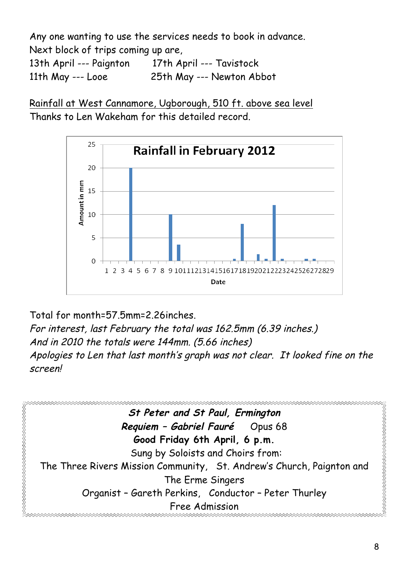Any one wanting to use the services needs to book in advance. Next block of trips coming up are, 13th April --- Paignton 17th April --- Tavistock

11th May --- Looe 25th May --- Newton Abbot

Rainfall at West Cannamore, Ugborough, 510 ft. above sea level Thanks to Len Wakeham for this detailed record.



Total for month=57.5mm=2.26inches. For interest, last February the total was 162.5mm (6.39 inches.) And in 2010 the totals were 144mm. (5.66 inches) Apologies to Len that last month's graph was not clear. It looked fine on the screen!

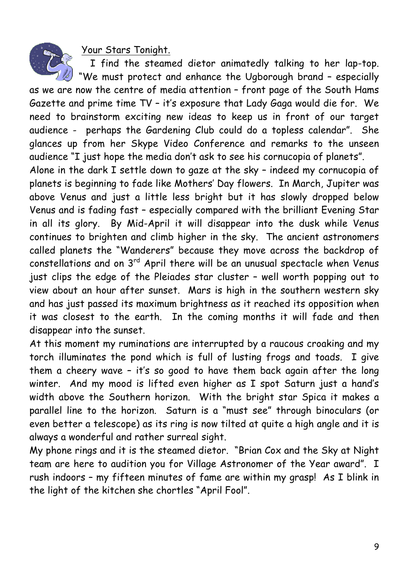Your Stars Tonight.

I find the steamed dietor animatedly talking to her lap-top.

"We must protect and enhance the Ugborough brand – especially as we are now the centre of media attention – front page of the South Hams Gazette and prime time TV – it's exposure that Lady Gaga would die for. We need to brainstorm exciting new ideas to keep us in front of our target audience - perhaps the Gardening Club could do a topless calendar". She glances up from her Skype Video Conference and remarks to the unseen audience "I just hope the media don't ask to see his cornucopia of planets".

Alone in the dark I settle down to gaze at the sky – indeed my cornucopia of planets is beginning to fade like Mothers' Day flowers. In March, Jupiter was above Venus and just a little less bright but it has slowly dropped below Venus and is fading fast – especially compared with the brilliant Evening Star in all its glory. By Mid-April it will disappear into the dusk while Venus continues to brighten and climb higher in the sky. The ancient astronomers called planets the "Wanderers" because they move across the backdrop of constellations and on 3<sup>rd</sup> April there will be an unusual spectacle when Venus just clips the edge of the Pleiades star cluster – well worth popping out to view about an hour after sunset. Mars is high in the southern western sky and has just passed its maximum brightness as it reached its opposition when it was closest to the earth. In the coming months it will fade and then disappear into the sunset.

At this moment my ruminations are interrupted by a raucous croaking and my torch illuminates the pond which is full of lusting frogs and toads. I give them a cheery wave – it's so good to have them back again after the long winter. And my mood is lifted even higher as I spot Saturn just a hand's width above the Southern horizon. With the bright star Spica it makes a parallel line to the horizon. Saturn is a "must see" through binoculars (or even better a telescope) as its ring is now tilted at quite a high angle and it is always a wonderful and rather surreal sight.

My phone rings and it is the steamed dietor. "Brian Cox and the Sky at Night team are here to audition you for Village Astronomer of the Year award". I rush indoors – my fifteen minutes of fame are within my grasp! As I blink in the light of the kitchen she chortles "April Fool".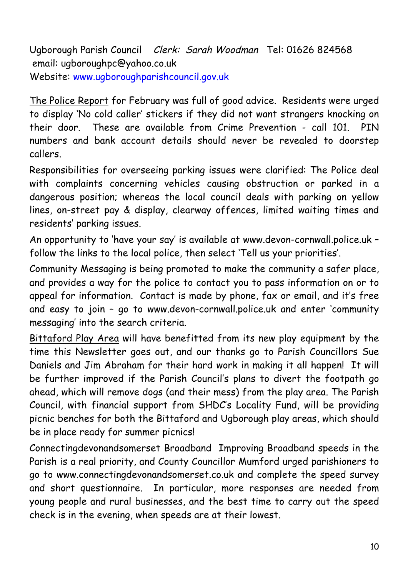Ugborough Parish Council Clerk: Sarah Woodman Tel: 01626 824568 email: ugboroughpc@yahoo.co.uk Website: www.ugboroughparishcouncil.gov.uk

The Police Report for February was full of good advice. Residents were urged to display 'No cold caller' stickers if they did not want strangers knocking on their door. These are available from Crime Prevention - call 101. PIN numbers and bank account details should never be revealed to doorstep callers.

Responsibilities for overseeing parking issues were clarified: The Police deal with complaints concerning vehicles causing obstruction or parked in a dangerous position; whereas the local council deals with parking on yellow lines, on-street pay & display, clearway offences, limited waiting times and residents' parking issues.

An opportunity to 'have your say' is available at www.devon-cornwall.police.uk – follow the links to the local police, then select 'Tell us your priorities'.

Community Messaging is being promoted to make the community a safer place, and provides a way for the police to contact you to pass information on or to appeal for information. Contact is made by phone, fax or email, and it's free and easy to join – go to www.devon-cornwall.police.uk and enter 'community messaging' into the search criteria.

Bittaford Play Area will have benefitted from its new play equipment by the time this Newsletter goes out, and our thanks go to Parish Councillors Sue Daniels and Jim Abraham for their hard work in making it all happen! It will be further improved if the Parish Council's plans to divert the footpath go ahead, which will remove dogs (and their mess) from the play area. The Parish Council, with financial support from SHDC's Locality Fund, will be providing picnic benches for both the Bittaford and Ugborough play areas, which should be in place ready for summer picnics!

Connectingdevonandsomerset Broadband Improving Broadband speeds in the Parish is a real priority, and County Councillor Mumford urged parishioners to go to www.connectingdevonandsomerset.co.uk and complete the speed survey and short questionnaire. In particular, more responses are needed from young people and rural businesses, and the best time to carry out the speed check is in the evening, when speeds are at their lowest.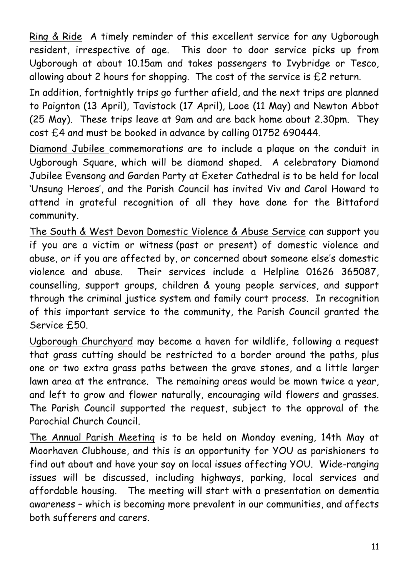Ring & Ride A timely reminder of this excellent service for any Ugborough resident, irrespective of age. This door to door service picks up from Ugborough at about 10.15am and takes passengers to Ivybridge or Tesco, allowing about 2 hours for shopping. The cost of the service is £2 return.

In addition, fortnightly trips go further afield, and the next trips are planned to Paignton (13 April), Tavistock (17 April), Looe (11 May) and Newton Abbot (25 May). These trips leave at 9am and are back home about 2.30pm. They cost £4 and must be booked in advance by calling 01752 690444.

Diamond Jubilee commemorations are to include a plaque on the conduit in Ugborough Square, which will be diamond shaped. A celebratory Diamond Jubilee Evensong and Garden Party at Exeter Cathedral is to be held for local 'Unsung Heroes', and the Parish Council has invited Viv and Carol Howard to attend in grateful recognition of all they have done for the Bittaford community.

The South & West Devon Domestic Violence & Abuse Service can support you if you are a victim or witness (past or present) of domestic violence and abuse, or if you are affected by, or concerned about someone else's domestic violence and abuse. Their services include a Helpline 01626 365087, counselling, support groups, children & young people services, and support through the criminal justice system and family court process. In recognition of this important service to the community, the Parish Council granted the Service £50.

Ugborough Churchyard may become a haven for wildlife, following a request that grass cutting should be restricted to a border around the paths, plus one or two extra grass paths between the grave stones, and a little larger lawn area at the entrance. The remaining areas would be mown twice a year, and left to grow and flower naturally, encouraging wild flowers and grasses. The Parish Council supported the request, subject to the approval of the Parochial Church Council.

The Annual Parish Meeting is to be held on Monday evening, 14th May at Moorhaven Clubhouse, and this is an opportunity for YOU as parishioners to find out about and have your say on local issues affecting YOU. Wide-ranging issues will be discussed, including highways, parking, local services and affordable housing. The meeting will start with a presentation on dementia awareness – which is becoming more prevalent in our communities, and affects both sufferers and carers.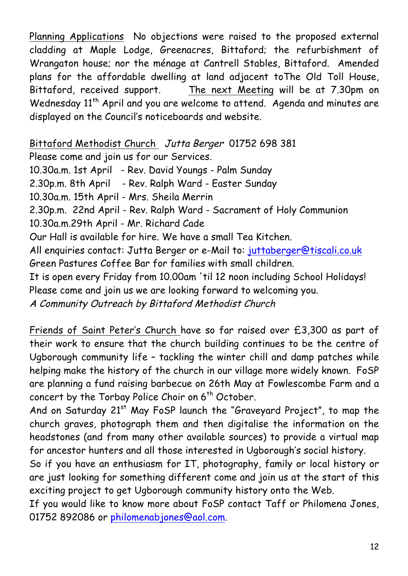Planning Applications No objections were raised to the proposed external cladding at Maple Lodge, Greenacres, Bittaford; the refurbishment of Wrangaton house; nor the ménage at Cantrell Stables, Bittaford. Amended plans for the affordable dwelling at land adjacent toThe Old Toll House, Bittaford, received support. The next Meeting will be at 7.30pm on Wednesday 11<sup>th</sup> April and you are welcome to attend. Agenda and minutes are displayed on the Council's noticeboards and website.

Bittaford Methodist Church Jutta Berger 01752 698 381

Please come and join us for our Services. 10.30a.m. 1st April - Rev. David Youngs - Palm Sunday 2.30p.m. 8th April - Rev. Ralph Ward - Easter Sunday 10.30a.m. 15th April - Mrs. Sheila Merrin 2.30p.m. 22nd April - Rev. Ralph Ward - Sacrament of Holy Communion 10.30a.m.29th April - Mr. Richard Cade Our Hall is available for hire. We have a small Tea Kitchen. All enquiries contact: Jutta Berger or e-Mail to: juttaberger@tiscali.co.uk Green Pastures Coffee Bar for families with small children. It is open every Friday from 10.00am 'til 12 noon including School Holidays! Please come and join us we are looking forward to welcoming you. A Community Outreach by Bittaford Methodist Church

Friends of Saint Peter's Church have so far raised over £3,300 as part of their work to ensure that the church building continues to be the centre of Ugborough community life – tackling the winter chill and damp patches while helping make the history of the church in our village more widely known. FoSP are planning a fund raising barbecue on 26th May at Fowlescombe Farm and a concert by the Torbay Police Choir on 6<sup>th</sup> October.

And on Saturday 21<sup>st</sup> May FoSP launch the "Graveyard Project", to map the church graves, photograph them and then digitalise the information on the headstones (and from many other available sources) to provide a virtual map for ancestor hunters and all those interested in Ugborough's social history.

So if you have an enthusiasm for IT, photography, family or local history or are just looking for something different come and join us at the start of this exciting project to get Ugborough community history onto the Web.

If you would like to know more about FoSP contact Taff or Philomena Jones, 01752 892086 or philomenabjones@aol.com.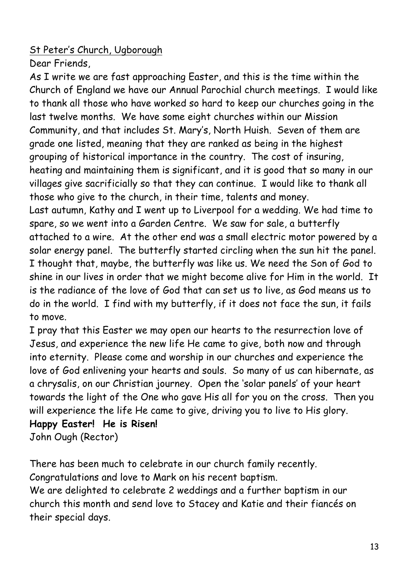# St Peter's Church, Ugborough

Dear Friends,

As I write we are fast approaching Easter, and this is the time within the Church of England we have our Annual Parochial church meetings. I would like to thank all those who have worked so hard to keep our churches going in the last twelve months. We have some eight churches within our Mission Community, and that includes St. Mary's, North Huish. Seven of them are grade one listed, meaning that they are ranked as being in the highest grouping of historical importance in the country. The cost of insuring, heating and maintaining them is significant, and it is good that so many in our villages give sacrificially so that they can continue. I would like to thank all those who give to the church, in their time, talents and money. Last autumn, Kathy and I went up to Liverpool for a wedding. We had time to spare, so we went into a Garden Centre. We saw for sale, a butterfly attached to a wire. At the other end was a small electric motor powered by a solar energy panel. The butterfly started circling when the sun hit the panel. I thought that, maybe, the butterfly was like us. We need the Son of God to shine in our lives in order that we might become alive for Him in the world. It is the radiance of the love of God that can set us to live, as God means us to do in the world. I find with my butterfly, if it does not face the sun, it fails to move.

I pray that this Easter we may open our hearts to the resurrection love of Jesus, and experience the new life He came to give, both now and through into eternity. Please come and worship in our churches and experience the love of God enlivening your hearts and souls. So many of us can hibernate, as a chrysalis, on our Christian journey. Open the 'solar panels' of your heart towards the light of the One who gave His all for you on the cross. Then you will experience the life He came to give, driving you to live to His glory.

```
Happy Easter! He is Risen!
John Ough (Rector)
```
There has been much to celebrate in our church family recently. Congratulations and love to Mark on his recent baptism. We are delighted to celebrate 2 weddings and a further baptism in our church this month and send love to Stacey and Katie and their fiancés on their special days.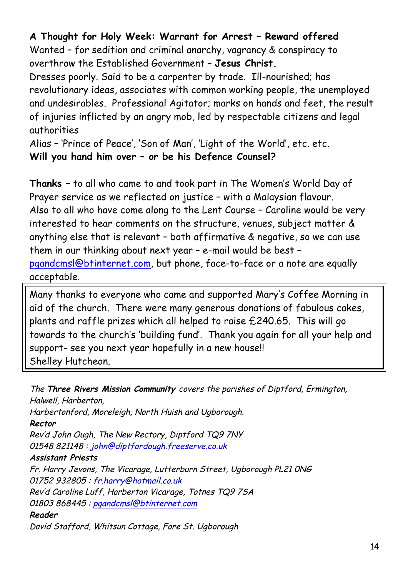### **A Thought for Holy Week: Warrant for Arrest – Reward offered**

Wanted – for sedition and criminal anarchy, vagrancy & conspiracy to overthrow the Established Government – **Jesus Christ.**

Dresses poorly. Said to be a carpenter by trade. Ill-nourished; has revolutionary ideas, associates with common working people, the unemployed and undesirables. Professional Agitator; marks on hands and feet, the result of injuries inflicted by an angry mob, led by respectable citizens and legal authorities

Alias – 'Prince of Peace', 'Son of Man', 'Light of the World', etc. etc. **Will you hand him over – or be his Defence Counsel?**

**Thanks –** to all who came to and took part in The Women's World Day of Prayer service as we reflected on justice – with a Malaysian flavour. Also to all who have come along to the Lent Course – Caroline would be very interested to hear comments on the structure, venues, subject matter & anything else that is relevant – both affirmative & negative, so we can use them in our thinking about next year – e-mail would be best – pgandcmsl@btinternet.com, but phone, face-to-face or a note are equally acceptable.

Many thanks to everyone who came and supported Mary's Coffee Morning in aid of the church. There were many generous donations of fabulous cakes, plants and raffle prizes which all helped to raise £240.65. This will go towards to the church's 'building fund'. Thank you again for all your help and support- see you next year hopefully in a new house!! Shelley Hutcheon.

The **Three Rivers Mission Community** covers the parishes of Diptford, Ermington, Halwell, Harberton, Harbertonford, Moreleigh, North Huish and Ugborough. **Rector** Rev'd John Ough, The New Rectory, Diptford TQ9 7NY 01548 821148 : john@diptfordough.freeserve.co.uk **Assistant Priests** Fr. Harry Jevons, The Vicarage, Lutterburn Street, Ugborough PL21 0NG 01752 932805 : fr.harry@hotmail.co.uk Rev'd Caroline Luff, Harberton Vicarage, Totnes TQ9 7SA 01803 868445 : pgandcmsl@btinternet.com **Reader**

David Stafford, Whitsun Cottage, Fore St. Ugborough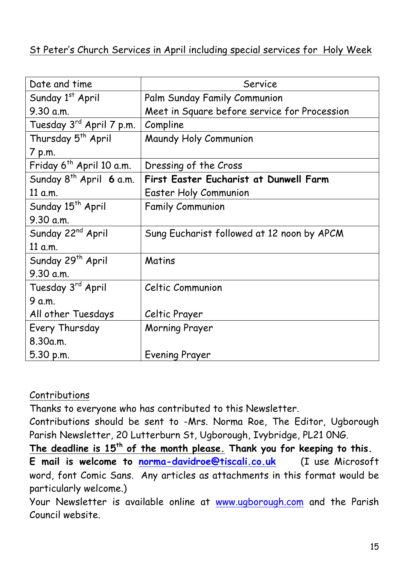### St Peter's Church Services in April including special services for Holy Week

| Date and time                        | Service                                      |  |
|--------------------------------------|----------------------------------------------|--|
| Sunday 1st April                     | Palm Sunday Family Communion                 |  |
| 9.30 a.m.                            | Meet in Square before service for Procession |  |
| Tuesday 3 <sup>rd</sup> April 7 p.m. | Compline                                     |  |
| Thursday 5 <sup>th</sup> April       | Maundy Holy Communion                        |  |
| 7 p.m.                               |                                              |  |
| Friday 6 <sup>th</sup> April 10 a.m. | Dressing of the Cross                        |  |
| Sunday $8^{th}$ April 6 a.m.         | First Easter Eucharist at Dunwell Farm       |  |
| 11 a.m.                              | <b>Easter Holy Communion</b>                 |  |
| Sunday 15 <sup>th</sup> April        | <b>Family Communion</b>                      |  |
| 9.30 a.m.                            |                                              |  |
| Sunday 22 <sup>nd</sup> April        | Sung Eucharist followed at 12 noon by APCM   |  |
| 11 a.m.                              |                                              |  |
| Sunday 29 <sup>th</sup> April        | Matins                                       |  |
| 9.30 a.m.                            |                                              |  |
| Tuesday 3rd April                    | Celtic Communion                             |  |
| 9 a.m.                               |                                              |  |
| All other Tuesdays                   | Celtic Prayer                                |  |
| Every Thursday                       | <b>Morning Prayer</b>                        |  |
| 8.30a.m.                             |                                              |  |
| 5.30 p.m.                            | <b>Evening Prayer</b>                        |  |

#### **Contributions**

Thanks to everyone who has contributed to this Newsletter.

Contributions should be sent to -Mrs. Norma Roe, The Editor, Ugborough Parish Newsletter, 20 Lutterburn St, Ugborough, Ivybridge, PL21 0NG.

**The deadline is 15th of the month please. Thank you for keeping to this. E mail is welcome to norma-davidroe@tiscali.co.uk** (I use Microsoft word, font Comic Sans. Any articles as attachments in this format would be particularly welcome.)

Your Newsletter is available online at www.ugborough.com and the Parish Council website.